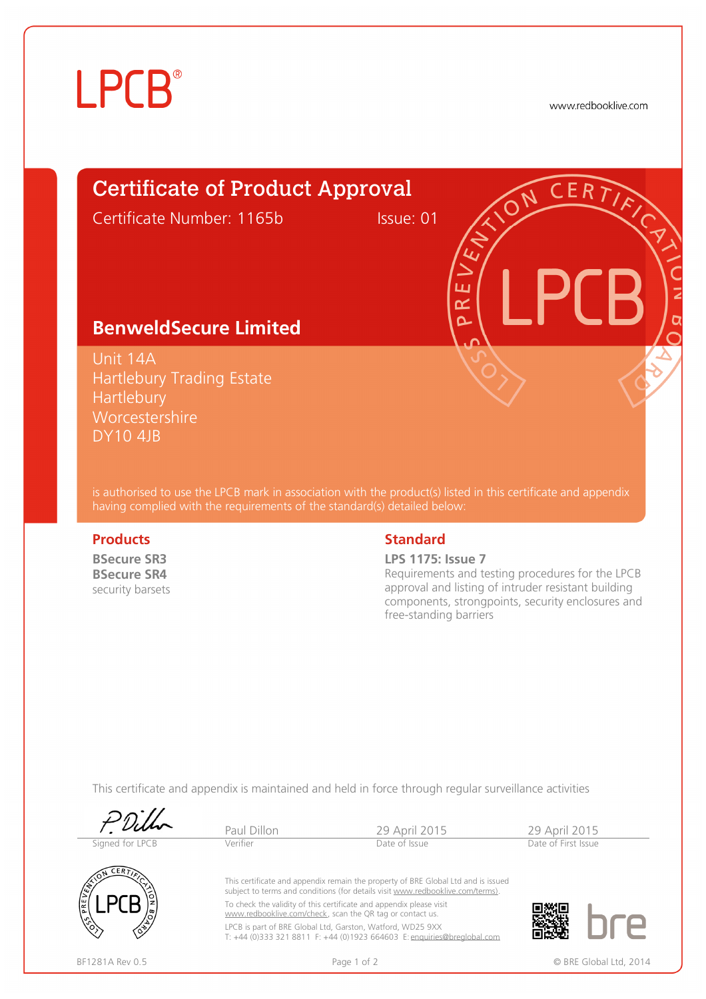# **LPCB**®

www.redbooklive.com

## Certificate of Product Approval

Certificate Number: 1165b Issue: 01

ய œ  $\Omega$ 

## **BenweldSecure Limited**

Unit 14A Hartlebury Trading Estate **Hartlebury Worcestershire** DY10 4JB

is authorised to use the LPCB mark in association with the product(s) listed in this certificate and appendix having complied with the requirements of the standard(s) detailed below:

**BSecure SR3 BSecure SR4**  security barsets

### **Products Standard**

**LPS 1175: Issue 7**

Requirements and testing procedures for the LPCB approval and listing of intruder resistant building components, strongpoints, security enclosures and free-standing barriers

This certificate and appendix is maintained and held in force through regular surveillance activities